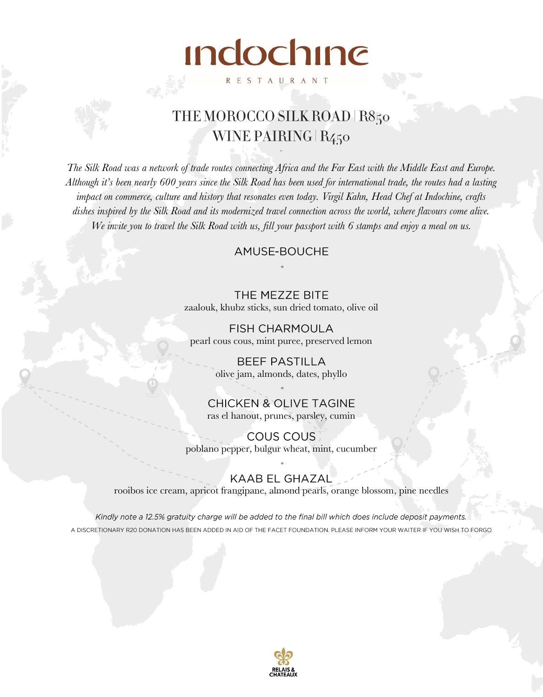# THE MOROCCO SILK ROAD | R850 WINE PAIRING R<sub>450</sub>

**Indochine** 

**RESTAURANT** 

*The Silk Road was a network of trade routes connecting Africa and the Far East with the Middle East and Europe. Although it's been nearly 600 years since the Silk Road has been used for international trade, the routes had a lasting impact on commerce, culture and history that resonates even today. Virgil Kahn, Head Chef at Indochine, crafts dishes inspired by the Silk Road and its modernized travel connection across the world, where flavours come alive. We invite you to travel the Silk Road with us, fill your passport with 6 stamps and enjoy a meal on us.* 

## AMUSE-BOUCHE

THE MEZZE BITE zaalouk, khubz sticks, sun dried tomato, olive oil

**FISH CHARMOULA** pearl cous cous, mint puree, preserved lemon

> **BEEF PASTILLA** olive jam, almonds, dates, phyllo

**CHICKEN & OLIVE TAGINE** ras el hanout, prunes, parsley, cumin

**COUS COUS** poblano pepper, bulgur wheat, mint, cucumber

#### KAAB EL GHAZAL

rooibos ice cream, apricot frangipane, almond pearls, orange blossom, pine needles

Kindly note a 12.5% gratuity charge will be added to the final bill which does include deposit payments. A DISCRETIONARY R20 DONATION HAS BEEN ADDED IN AID OF THE FACET FOUNDATION. PLEASE INFORM YOUR WAITER IF YOU WISH TO FORGO